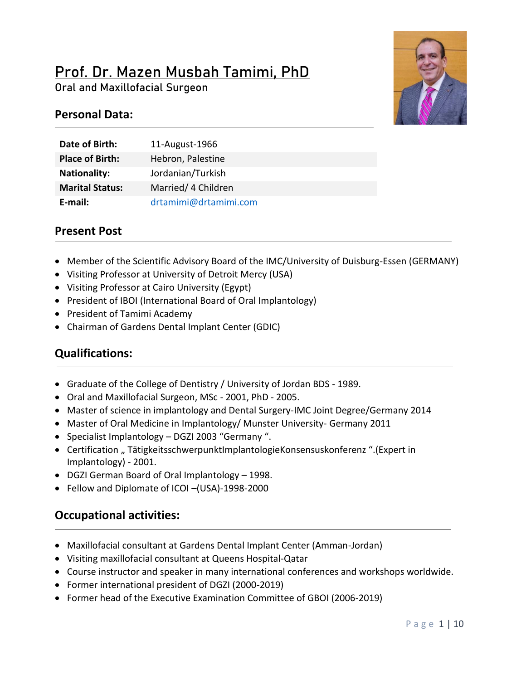## Prof. Dr. Mazen Musbah Tamimi, PhD

Oral and Maxillofacial Surgeon



#### **Personal Data:**

| Date of Birth:         | 11-August-1966        |
|------------------------|-----------------------|
| <b>Place of Birth:</b> | Hebron, Palestine     |
| <b>Nationality:</b>    | Jordanian/Turkish     |
| <b>Marital Status:</b> | Married/ 4 Children   |
| E-mail:                | drtamimi@drtamimi.com |

### **Present Post**

- Member of the Scientific Advisory Board of the IMC/University of Duisburg-Essen (GERMANY)
- Visiting Professor at University of Detroit Mercy (USA)
- Visiting Professor at Cairo University (Egypt)
- President of IBOI (International Board of Oral Implantology)
- President of Tamimi Academy
- Chairman of Gardens Dental Implant Center (GDIC)

#### **Qualifications:**

- Graduate of the College of Dentistry / University of Jordan BDS 1989.
- Oral and Maxillofacial Surgeon, MSc 2001, PhD 2005.
- Master of science in implantology and Dental Surgery-IMC Joint Degree/Germany 2014
- Master of Oral Medicine in Implantology/ Munster University- Germany 2011
- Specialist Implantology DGZI 2003 "Germany ".
- Certification "TätigkeitsschwerpunktImplantologieKonsensuskonferenz".(Expert in Implantology) - 2001.
- DGZI German Board of Oral Implantology 1998.
- Fellow and Diplomate of ICOI –(USA)-1998-2000

#### **Occupational activities:**

- Maxillofacial consultant at Gardens Dental Implant Center (Amman-Jordan)
- Visiting maxillofacial consultant at Queens Hospital-Qatar
- Course instructor and speaker in many international conferences and workshops worldwide.
- Former international president of DGZI (2000-2019)
- Former head of the Executive Examination Committee of GBOI (2006-2019)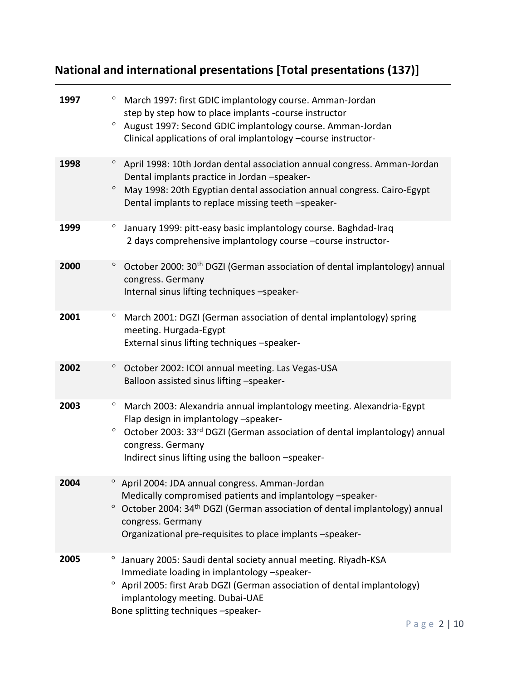# **National and international presentations [Total presentations (137)]**

| 1997 | $\circ$<br>$\circ$ | March 1997: first GDIC implantology course. Amman-Jordan<br>step by step how to place implants -course instructor<br>August 1997: Second GDIC implantology course. Amman-Jordan<br>Clinical applications of oral implantology -course instructor-                                      |
|------|--------------------|----------------------------------------------------------------------------------------------------------------------------------------------------------------------------------------------------------------------------------------------------------------------------------------|
| 1998 | $\circ$<br>$\circ$ | April 1998: 10th Jordan dental association annual congress. Amman-Jordan<br>Dental implants practice in Jordan -speaker-<br>May 1998: 20th Egyptian dental association annual congress. Cairo-Egypt<br>Dental implants to replace missing teeth -speaker-                              |
| 1999 | $\circ$            | January 1999: pitt-easy basic implantology course. Baghdad-Iraq<br>2 days comprehensive implantology course -course instructor-                                                                                                                                                        |
| 2000 | $\circ$            | October 2000: 30 <sup>th</sup> DGZI (German association of dental implantology) annual<br>congress. Germany<br>Internal sinus lifting techniques -speaker-                                                                                                                             |
| 2001 | $\circ$            | March 2001: DGZI (German association of dental implantology) spring<br>meeting. Hurgada-Egypt<br>External sinus lifting techniques -speaker-                                                                                                                                           |
| 2002 | $\circ$            | October 2002: ICOI annual meeting. Las Vegas-USA<br>Balloon assisted sinus lifting -speaker-                                                                                                                                                                                           |
| 2003 | $\circ$<br>$\circ$ | March 2003: Alexandria annual implantology meeting. Alexandria-Egypt<br>Flap design in implantology -speaker-<br>October 2003: 33rd DGZI (German association of dental implantology) annual<br>congress. Germany<br>Indirect sinus lifting using the balloon -speaker-                 |
| 2004 | $\circ$<br>$\circ$ | April 2004: JDA annual congress. Amman-Jordan<br>Medically compromised patients and implantology -speaker-<br>October 2004: 34 <sup>th</sup> DGZI (German association of dental implantology) annual<br>congress. Germany<br>Organizational pre-requisites to place implants -speaker- |
| 2005 | $\circ$            | January 2005: Saudi dental society annual meeting. Riyadh-KSA<br>Immediate loading in implantology -speaker-<br>April 2005: first Arab DGZI (German association of dental implantology)<br>implantology meeting. Dubai-UAE<br>Bone splitting techniques -speaker-                      |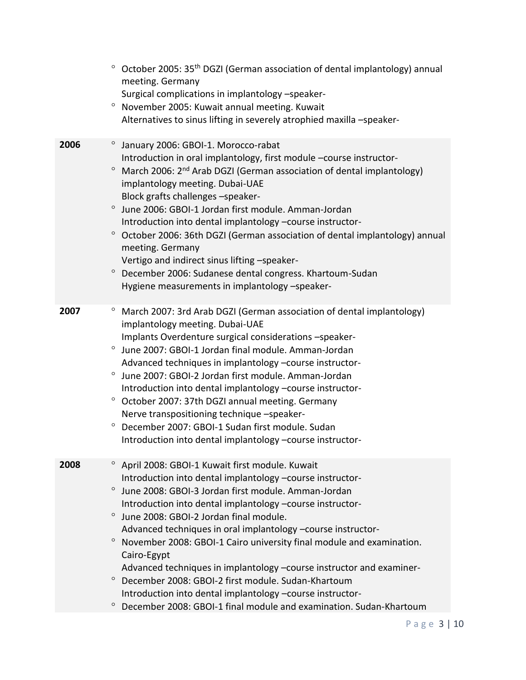|      | October 2005: 35 <sup>th</sup> DGZI (German association of dental implantology) annual<br>$\circ$<br>meeting. Germany<br>Surgical complications in implantology -speaker-<br><sup>o</sup> November 2005: Kuwait annual meeting. Kuwait<br>Alternatives to sinus lifting in severely atrophied maxilla -speaker-                                                                                                                                                                                                                                                                                                                                                                                                                                                     |
|------|---------------------------------------------------------------------------------------------------------------------------------------------------------------------------------------------------------------------------------------------------------------------------------------------------------------------------------------------------------------------------------------------------------------------------------------------------------------------------------------------------------------------------------------------------------------------------------------------------------------------------------------------------------------------------------------------------------------------------------------------------------------------|
| 2006 | January 2006: GBOI-1. Morocco-rabat<br>$\circ$<br>Introduction in oral implantology, first module -course instructor-<br>March 2006: 2 <sup>nd</sup> Arab DGZI (German association of dental implantology)<br>$\circ$<br>implantology meeting. Dubai-UAE<br>Block grafts challenges -speaker-<br>June 2006: GBOI-1 Jordan first module. Amman-Jordan<br>$\circ$<br>Introduction into dental implantology -course instructor-<br>$\circ$<br>October 2006: 36th DGZI (German association of dental implantology) annual<br>meeting. Germany<br>Vertigo and indirect sinus lifting -speaker-<br>$\circ$<br>December 2006: Sudanese dental congress. Khartoum-Sudan<br>Hygiene measurements in implantology -speaker-                                                   |
| 2007 | March 2007: 3rd Arab DGZI (German association of dental implantology)<br>$\circ$<br>implantology meeting. Dubai-UAE<br>Implants Overdenture surgical considerations -speaker-<br>° June 2007: GBOI-1 Jordan final module. Amman-Jordan<br>Advanced techniques in implantology -course instructor-<br>June 2007: GBOI-2 Jordan first module. Amman-Jordan<br>$\circ$<br>Introduction into dental implantology -course instructor-<br>° October 2007: 37th DGZI annual meeting. Germany<br>Nerve transpositioning technique -speaker-<br>December 2007: GBOI-1 Sudan first module. Sudan<br>$\circ$<br>Introduction into dental implantology -course instructor-                                                                                                      |
| 2008 | April 2008: GBOI-1 Kuwait first module. Kuwait<br>$\circ$<br>Introduction into dental implantology -course instructor-<br>$\circ$<br>June 2008: GBOI-3 Jordan first module. Amman-Jordan<br>Introduction into dental implantology -course instructor-<br>June 2008: GBOI-2 Jordan final module.<br>$\circ$<br>Advanced techniques in oral implantology -course instructor-<br>$\circ$<br>November 2008: GBOI-1 Cairo university final module and examination.<br>Cairo-Egypt<br>Advanced techniques in implantology -course instructor and examiner-<br>December 2008: GBOI-2 first module. Sudan-Khartoum<br>$\circ$<br>Introduction into dental implantology -course instructor-<br>December 2008: GBOI-1 final module and examination. Sudan-Khartoum<br>$\circ$ |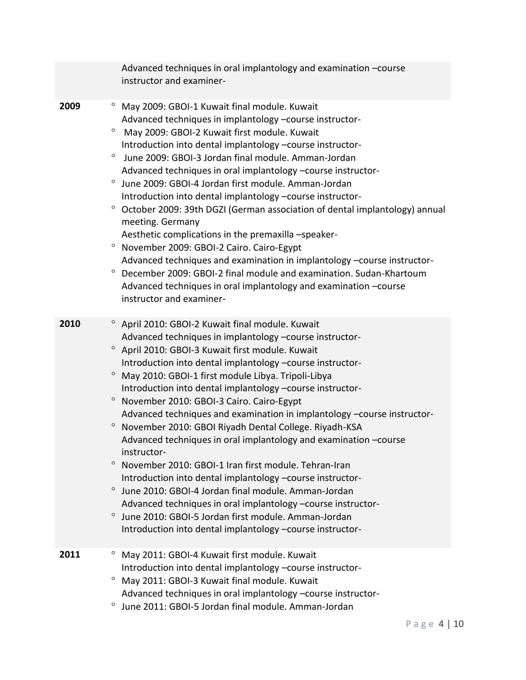|      | Advanced techniques in oral implantology and examination -course<br>instructor and examiner-                                                                                                                                                                                                                                                                                                                                                                                                                                                                                                                                                                                                                                                                                                                                                                                                                                                                                   |
|------|--------------------------------------------------------------------------------------------------------------------------------------------------------------------------------------------------------------------------------------------------------------------------------------------------------------------------------------------------------------------------------------------------------------------------------------------------------------------------------------------------------------------------------------------------------------------------------------------------------------------------------------------------------------------------------------------------------------------------------------------------------------------------------------------------------------------------------------------------------------------------------------------------------------------------------------------------------------------------------|
| 2009 | May 2009: GBOI-1 Kuwait final module. Kuwait<br>Advanced techniques in implantology -course instructor-<br>May 2009: GBOI-2 Kuwait first module. Kuwait<br>Introduction into dental implantology -course instructor-<br>June 2009: GBOI-3 Jordan final module, Amman-Jordan<br>Advanced techniques in oral implantology -course instructor-<br>June 2009: GBOI-4 Jordan first module. Amman-Jordan<br>Introduction into dental implantology -course instructor-<br>October 2009: 39th DGZI (German association of dental implantology) annual<br>meeting. Germany<br>Aesthetic complications in the premaxilla -speaker-<br>November 2009: GBOI-2 Cairo. Cairo-Egypt<br>Advanced techniques and examination in implantology -course instructor-<br>December 2009: GBOI-2 final module and examination. Sudan-Khartoum<br>Advanced techniques in oral implantology and examination -course<br>instructor and examiner-                                                          |
| 2010 | April 2010: GBOI-2 Kuwait final module. Kuwait<br>Advanced techniques in implantology -course instructor-<br>April 2010: GBOI-3 Kuwait first module. Kuwait<br>Introduction into dental implantology -course instructor-<br>May 2010: GBOI-1 first module Libya. Tripoli-Libya<br>Introduction into dental implantology -course instructor-<br>November 2010: GBOI-3 Cairo. Cairo-Egypt<br>Advanced techniques and examination in implantology -course instructor-<br>November 2010: GBOI Riyadh Dental College. Riyadh-KSA<br>Advanced techniques in oral implantology and examination -course<br>instructor-<br>November 2010: GBOI-1 Iran first module. Tehran-Iran<br>Introduction into dental implantology -course instructor-<br>June 2010: GBOI-4 Jordan final module. Amman-Jordan<br>Advanced techniques in oral implantology -course instructor-<br>June 2010: GBOI-5 Jordan first module. Amman-Jordan<br>Introduction into dental implantology -course instructor- |
| 2011 | May 2011: GBOI-4 Kuwait first module. Kuwait<br>Introduction into dental implantology -course instructor-<br>May 2011: GBOI-3 Kuwait final module. Kuwait<br>Advanced techniques in oral implantology -course instructor-<br>June 2011: GBOI-5 Jordan final module. Amman-Jordan                                                                                                                                                                                                                                                                                                                                                                                                                                                                                                                                                                                                                                                                                               |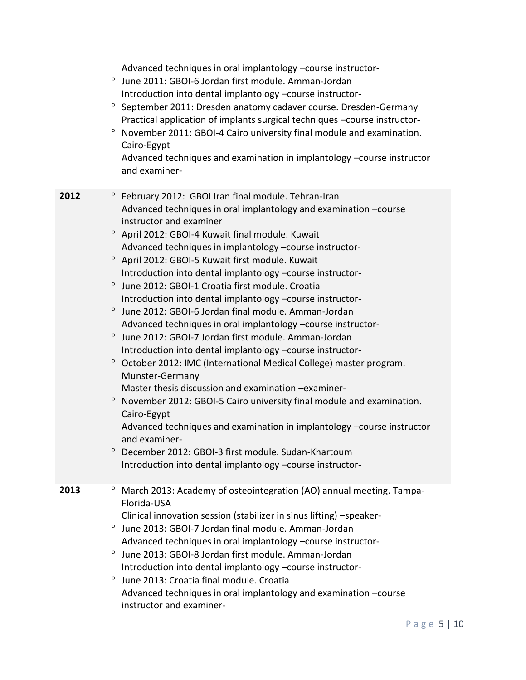|      | Advanced techniques in oral implantology -course instructor-<br>June 2011: GBOI-6 Jordan first module. Amman-Jordan<br>$\circ$<br>Introduction into dental implantology -course instructor-<br><sup>o</sup> September 2011: Dresden anatomy cadaver course. Dresden-Germany<br>Practical application of implants surgical techniques -course instructor-<br>$\circ$<br>November 2011: GBOI-4 Cairo university final module and examination.<br>Cairo-Egypt<br>Advanced techniques and examination in implantology -course instructor<br>and examiner-                                                                                                                                                                                                                                                                                                                                                                                                                                                                                                                                                                                                                                                                                                                                           |
|------|-------------------------------------------------------------------------------------------------------------------------------------------------------------------------------------------------------------------------------------------------------------------------------------------------------------------------------------------------------------------------------------------------------------------------------------------------------------------------------------------------------------------------------------------------------------------------------------------------------------------------------------------------------------------------------------------------------------------------------------------------------------------------------------------------------------------------------------------------------------------------------------------------------------------------------------------------------------------------------------------------------------------------------------------------------------------------------------------------------------------------------------------------------------------------------------------------------------------------------------------------------------------------------------------------|
| 2012 | February 2012: GBOI Iran final module. Tehran-Iran<br>$\circ$<br>Advanced techniques in oral implantology and examination -course<br>instructor and examiner<br>$\circ$<br>April 2012: GBOI-4 Kuwait final module. Kuwait<br>Advanced techniques in implantology -course instructor-<br>$\circ$<br>April 2012: GBOI-5 Kuwait first module. Kuwait<br>Introduction into dental implantology -course instructor-<br>$\circ$<br>June 2012: GBOI-1 Croatia first module. Croatia<br>Introduction into dental implantology -course instructor-<br>$\circ$<br>June 2012: GBOI-6 Jordan final module. Amman-Jordan<br>Advanced techniques in oral implantology -course instructor-<br>June 2012: GBOI-7 Jordan first module. Amman-Jordan<br>$\circ$<br>Introduction into dental implantology -course instructor-<br>$\circ$<br>October 2012: IMC (International Medical College) master program.<br>Munster-Germany<br>Master thesis discussion and examination -examiner-<br>$\circ$<br>November 2012: GBOI-5 Cairo university final module and examination.<br>Cairo-Egypt<br>Advanced techniques and examination in implantology -course instructor<br>and examiner-<br>$\circ$<br>December 2012: GBOI-3 first module. Sudan-Khartoum<br>Introduction into dental implantology -course instructor- |
| 2013 | March 2013: Academy of osteointegration (AO) annual meeting. Tampa-<br>Florida-USA<br>Clinical innovation session (stabilizer in sinus lifting) -speaker-<br>June 2013: GBOI-7 Jordan final module. Amman-Jordan<br>$\circ$<br>Advanced techniques in oral implantology -course instructor-<br>June 2013: GBOI-8 Jordan first module. Amman-Jordan<br>$\circ$<br>Introduction into dental implantology -course instructor-<br>June 2013: Croatia final module. Croatia<br>$\circ$<br>Advanced techniques in oral implantology and examination -course<br>instructor and examiner-                                                                                                                                                                                                                                                                                                                                                                                                                                                                                                                                                                                                                                                                                                               |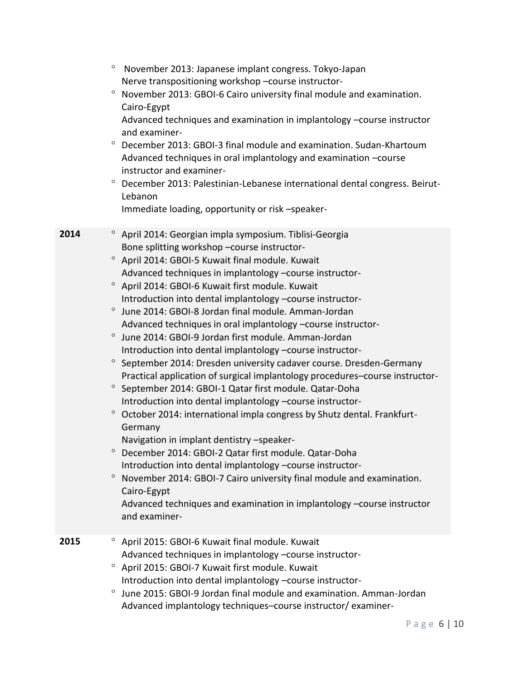|      | $\circ$ | November 2013: Japanese implant congress. Tokyo-Japan                                        |
|------|---------|----------------------------------------------------------------------------------------------|
|      |         | Nerve transpositioning workshop -course instructor-                                          |
|      | $\circ$ | November 2013: GBOI-6 Cairo university final module and examination.                         |
|      |         | Cairo-Egypt                                                                                  |
|      |         | Advanced techniques and examination in implantology -course instructor                       |
|      |         | and examiner-                                                                                |
|      | $\circ$ | December 2013: GBOI-3 final module and examination. Sudan-Khartoum                           |
|      |         | Advanced techniques in oral implantology and examination -course<br>instructor and examiner- |
|      | $\circ$ | December 2013: Palestinian-Lebanese international dental congress. Beirut-                   |
|      |         | Lebanon                                                                                      |
|      |         | Immediate loading, opportunity or risk-speaker-                                              |
|      |         |                                                                                              |
| 2014 | $\circ$ | April 2014: Georgian impla symposium. Tiblisi-Georgia                                        |
|      |         | Bone splitting workshop -course instructor-                                                  |
|      | $\circ$ | April 2014: GBOI-5 Kuwait final module. Kuwait                                               |
|      |         | Advanced techniques in implantology -course instructor-                                      |
|      | $\circ$ | April 2014: GBOI-6 Kuwait first module. Kuwait                                               |
|      |         | Introduction into dental implantology -course instructor-                                    |
|      | $\circ$ | June 2014: GBOI-8 Jordan final module. Amman-Jordan                                          |
|      |         | Advanced techniques in oral implantology -course instructor-                                 |
|      | $\circ$ | June 2014: GBOI-9 Jordan first module. Amman-Jordan                                          |
|      |         | Introduction into dental implantology -course instructor-                                    |
|      |         | September 2014: Dresden university cadaver course. Dresden-Germany                           |
|      |         | Practical application of surgical implantology procedures-course instructor-                 |
|      | $\circ$ | September 2014: GBOI-1 Qatar first module. Qatar-Doha                                        |
|      |         | Introduction into dental implantology -course instructor-                                    |
|      | $\circ$ | October 2014: international impla congress by Shutz dental. Frankfurt-                       |
|      |         | Germany                                                                                      |
|      |         | Navigation in implant dentistry -speaker-                                                    |
|      | $\circ$ | December 2014: GBOI-2 Qatar first module. Qatar-Doha                                         |
|      |         | Introduction into dental implantology -course instructor-                                    |
|      | $\circ$ | November 2014: GBOI-7 Cairo university final module and examination.                         |
|      |         | Cairo-Egypt                                                                                  |
|      |         | Advanced techniques and examination in implantology -course instructor                       |
|      |         | and examiner-                                                                                |
|      |         |                                                                                              |
| 2015 | $\circ$ | April 2015: GBOI-6 Kuwait final module. Kuwait                                               |
|      |         | Advanced techniques in implantology -course instructor-                                      |
|      | $\circ$ | April 2015: GBOI-7 Kuwait first module. Kuwait                                               |
|      |         | Introduction into dental implantology -course instructor-                                    |
|      | $\circ$ | June 2015: GBOI-9 Jordan final module and examination. Amman-Jordan                          |
|      |         | Advanced implantology techniques-course instructor/examiner-                                 |
|      |         |                                                                                              |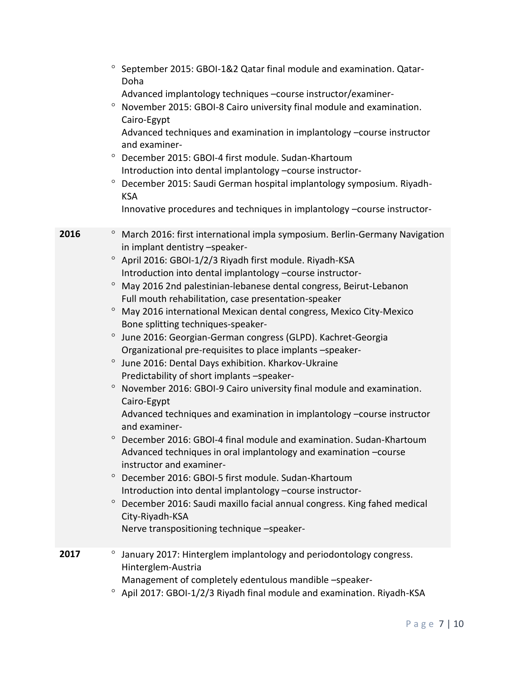|      | $\circ$<br>$\circ$<br>$\circ$                                                                   | ° September 2015: GBOI-1&2 Qatar final module and examination. Qatar-<br>Doha<br>Advanced implantology techniques -course instructor/examiner-<br>November 2015: GBOI-8 Cairo university final module and examination.<br>Cairo-Egypt<br>Advanced techniques and examination in implantology -course instructor<br>and examiner-<br>December 2015: GBOI-4 first module. Sudan-Khartoum<br>Introduction into dental implantology -course instructor-<br>December 2015: Saudi German hospital implantology symposium. Riyadh-<br><b>KSA</b><br>Innovative procedures and techniques in implantology -course instructor-                                                                                                                                                                                                                                                                                                                                                                                                                                                                                                                                                                                                                                                                                                               |
|------|-------------------------------------------------------------------------------------------------|-------------------------------------------------------------------------------------------------------------------------------------------------------------------------------------------------------------------------------------------------------------------------------------------------------------------------------------------------------------------------------------------------------------------------------------------------------------------------------------------------------------------------------------------------------------------------------------------------------------------------------------------------------------------------------------------------------------------------------------------------------------------------------------------------------------------------------------------------------------------------------------------------------------------------------------------------------------------------------------------------------------------------------------------------------------------------------------------------------------------------------------------------------------------------------------------------------------------------------------------------------------------------------------------------------------------------------------|
| 2016 | $\circ$<br>$\circ$<br>$\circ$<br>$\circ$<br>$\circ$<br>$\circ$<br>$\circ$<br>$\circ$<br>$\circ$ | March 2016: first international impla symposium. Berlin-Germany Navigation<br>in implant dentistry -speaker-<br>April 2016: GBOI-1/2/3 Riyadh first module. Riyadh-KSA<br>Introduction into dental implantology -course instructor-<br>May 2016 2nd palestinian-lebanese dental congress, Beirut-Lebanon<br>Full mouth rehabilitation, case presentation-speaker<br>May 2016 international Mexican dental congress, Mexico City-Mexico<br>Bone splitting techniques-speaker-<br>June 2016: Georgian-German congress (GLPD). Kachret-Georgia<br>Organizational pre-requisites to place implants -speaker-<br>June 2016: Dental Days exhibition. Kharkov-Ukraine<br>Predictability of short implants -speaker-<br>November 2016: GBOI-9 Cairo university final module and examination.<br>Cairo-Egypt<br>Advanced techniques and examination in implantology -course instructor<br>and examiner-<br>December 2016: GBOI-4 final module and examination. Sudan-Khartoum<br>Advanced techniques in oral implantology and examination -course<br>instructor and examiner-<br>December 2016: GBOI-5 first module. Sudan-Khartoum<br>Introduction into dental implantology -course instructor-<br>December 2016: Saudi maxillo facial annual congress. King fahed medical<br>City-Riyadh-KSA<br>Nerve transpositioning technique -speaker- |
| 2017 | $\circ$<br>$\circ$                                                                              | January 2017: Hinterglem implantology and periodontology congress.<br>Hinterglem-Austria<br>Management of completely edentulous mandible -speaker-<br>Apil 2017: GBOI-1/2/3 Riyadh final module and examination. Riyadh-KSA                                                                                                                                                                                                                                                                                                                                                                                                                                                                                                                                                                                                                                                                                                                                                                                                                                                                                                                                                                                                                                                                                                         |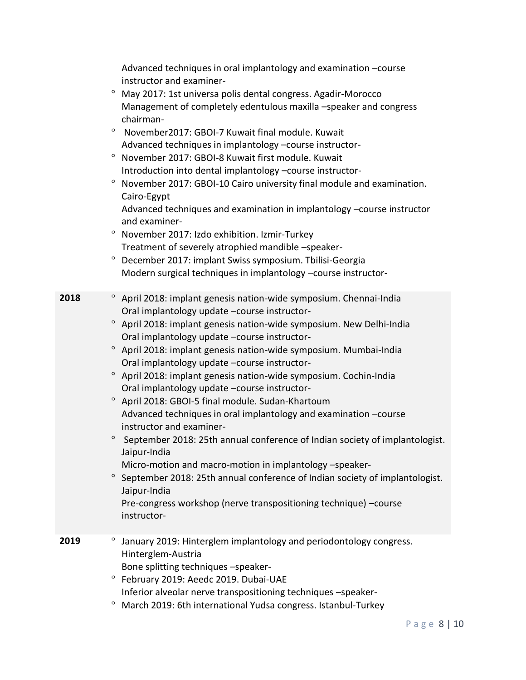Advanced techniques in oral implantology and examination –course instructor and examiner-

- May 2017: 1st universa polis dental congress. Agadir-Morocco Management of completely edentulous maxilla –speaker and congress chairman-
- $^{\circ}$  November2017: GBOI-7 Kuwait final module. Kuwait Advanced techniques in implantology –course instructor-
- $^{\circ}$  November 2017: GBOI-8 Kuwait first module. Kuwait Introduction into dental implantology –course instructor-
- November 2017: GBOI-10 Cairo university final module and examination. Cairo-Egypt

Advanced techniques and examination in implantology –course instructor and examiner-

- November 2017: Izdo exhibition. Izmir-Turkey Treatment of severely atrophied mandible –speaker-
- December 2017: implant Swiss symposium. Tbilisi-Georgia Modern surgical techniques in implantology –course instructor-
- **2018** April 2018: implant genesis nation-wide symposium. Chennai-India Oral implantology update –course instructor-
	- $\degree$  April 2018: implant genesis nation-wide symposium. New Delhi-India Oral implantology update –course instructor-
	- $\degree$  April 2018: implant genesis nation-wide symposium. Mumbai-India Oral implantology update –course instructor-
	- April 2018: implant genesis nation-wide symposium. Cochin-India Oral implantology update –course instructor-
	- April 2018: GBOI-5 final module. Sudan-Khartoum Advanced techniques in oral implantology and examination –course instructor and examiner-
	- <sup>o</sup> September 2018: 25th annual conference of Indian society of implantologist. Jaipur-India

Micro-motion and macro-motion in implantology –speaker-

 $\degree$  September 2018: 25th annual conference of Indian society of implantologist. Jaipur-India

Pre-congress workshop (nerve transpositioning technique) –course instructor-

- **2019** January 2019: Hinterglem implantology and periodontology congress. Hinterglem-Austria Bone splitting techniques –speaker-
	- February 2019: Aeedc 2019. Dubai-UAE Inferior alveolar nerve transpositioning techniques –speaker-
	- March 2019: 6th international Yudsa congress. Istanbul-Turkey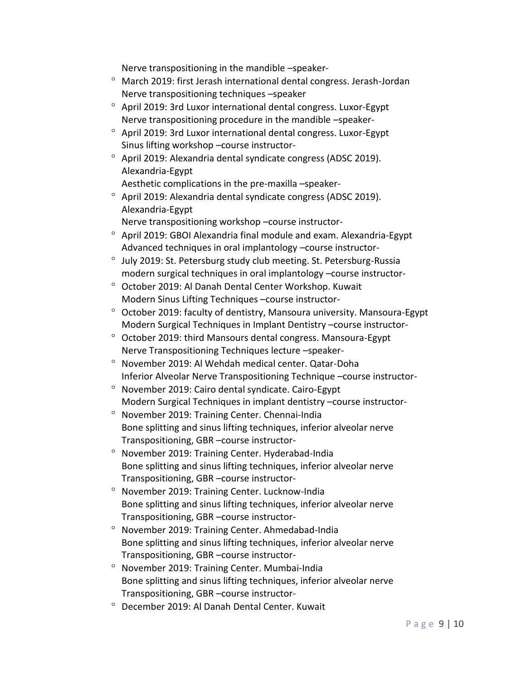Nerve transpositioning in the mandible –speaker-

- March 2019: first Jerash international dental congress. Jerash-Jordan Nerve transpositioning techniques –speaker
- $\degree$  April 2019: 3rd Luxor international dental congress. Luxor-Egypt Nerve transpositioning procedure in the mandible –speaker-
- April 2019: 3rd Luxor international dental congress. Luxor-Egypt Sinus lifting workshop –course instructor-
- April 2019: Alexandria dental syndicate congress (ADSC 2019). Alexandria-Egypt
	- Aesthetic complications in the pre-maxilla –speaker-
- $\degree$  April 2019: Alexandria dental syndicate congress (ADSC 2019). Alexandria-Egypt

Nerve transpositioning workshop –course instructor-

- $\degree$  April 2019: GBOI Alexandria final module and exam. Alexandria-Egypt Advanced techniques in oral implantology –course instructor-
- <sup>o</sup> July 2019: St. Petersburg study club meeting. St. Petersburg-Russia modern surgical techniques in oral implantology –course instructor-
- October 2019: Al Danah Dental Center Workshop. Kuwait Modern Sinus Lifting Techniques –course instructor-
- October 2019: faculty of dentistry, Mansoura university. Mansoura-Egypt Modern Surgical Techniques in Implant Dentistry –course instructor-
- October 2019: third Mansours dental congress. Mansoura-Egypt Nerve Transpositioning Techniques lecture –speaker-
- November 2019: Al Wehdah medical center. Qatar-Doha Inferior Alveolar Nerve Transpositioning Technique –course instructor-
- $\degree$  November 2019: Cairo dental syndicate. Cairo-Egypt Modern Surgical Techniques in implant dentistry –course instructor-
- <sup>o</sup> November 2019: Training Center. Chennai-India Bone splitting and sinus lifting techniques, inferior alveolar nerve Transpositioning, GBR –course instructor-
- <sup>o</sup> November 2019: Training Center. Hyderabad-India Bone splitting and sinus lifting techniques, inferior alveolar nerve Transpositioning, GBR –course instructor-
- November 2019: Training Center. Lucknow-India Bone splitting and sinus lifting techniques, inferior alveolar nerve Transpositioning, GBR –course instructor-
- <sup>o</sup> November 2019: Training Center. Ahmedabad-India Bone splitting and sinus lifting techniques, inferior alveolar nerve Transpositioning, GBR –course instructor-
- <sup>o</sup> November 2019: Training Center. Mumbai-India Bone splitting and sinus lifting techniques, inferior alveolar nerve Transpositioning, GBR –course instructor-
- December 2019: Al Danah Dental Center. Kuwait